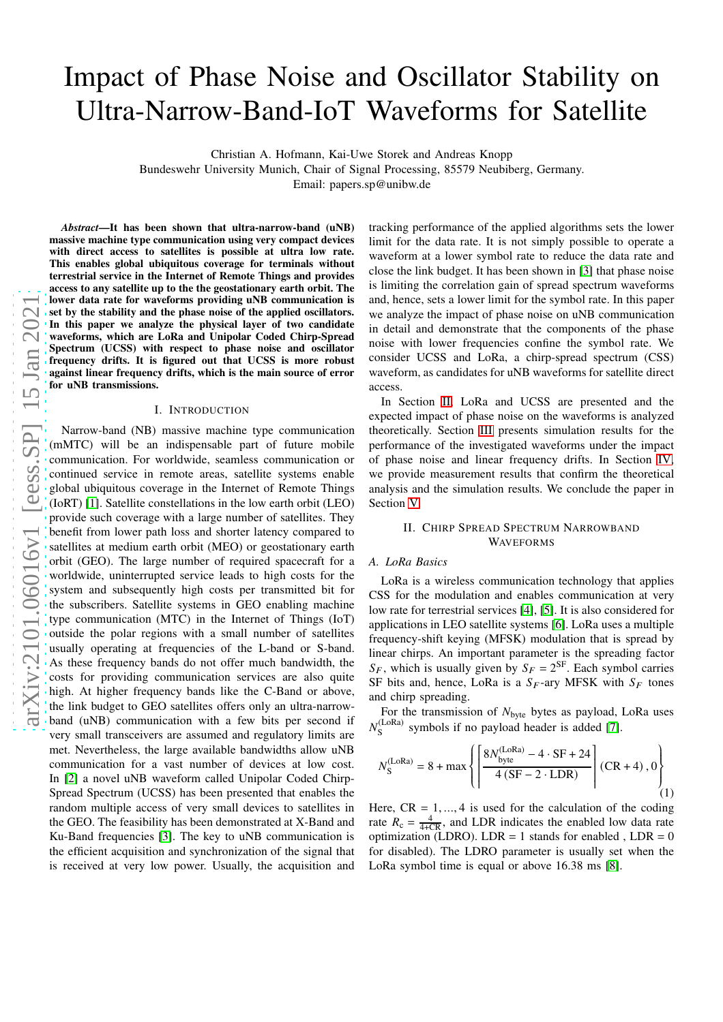# Impact of Phase Noise and Oscillator Stability on Ultra-Narrow-Band-IoT Waveforms for Satellite

Christian A. Hofmann, Kai-Uwe Storek and Andreas Knopp

Bundeswehr University Munich, Chair of Signal Processing, 85579 Neubiberg, Germany. Email: papers.sp@unibw.de

*Abstract*—It has been shown that ultra-narrow-band (uNB) massive machine type communication using very compact devices with direct access to satellites is possible at ultra low rate. This enables global ubiquitous coverage for terminals without terrestrial service in the Internet of Remote Things and provides access to any satellite up to the the geostationary earth orbit. The lower data rate for waveforms providing uNB communication is set by the stability and the phase noise of the applied oscillators. In this paper we analyze the physical layer of two candidate waveforms, which are LoRa and Unipolar Coded Chirp-Spread Spectrum (UCSS) with respect to phase noise and oscillator frequency drifts. It is figured out that UCSS is more robust against linear frequency drifts, which is the main source of error for uNB transmissions.

#### I. INTRODUCTION

Narrow-band (NB) massive machine type communication (mMTC) will be an indispensable part of future mobile communication. For worldwide, seamless communication or continued service in remote areas, satellite systems enable global ubiquitous coverage in the Internet of Remote Things (IoRT) [\[1\]](#page-5-0). Satellite constellations in the low earth orbit (LEO) provide such coverage with a large number of satellites. They benefit from lower path loss and shorter latency compared to satellites at medium earth orbit (MEO) or geostationary earth orbit (GEO). The large number of required spacecraft for a worldwide, uninterrupted service leads to high costs for the system and subsequently high costs per transmitted bit for the subscribers. Satellite systems in GEO enabling machine type communication (MTC) in the Internet of Things (IoT) outside the polar regions with a small number of satellites usually operating at frequencies of the L-band or S-band. As these frequency bands do not offer much bandwidth, the costs for providing communication services are also quite high. At higher frequency bands like the C-Band or above, the link budget to GEO satellites offers only an ultra-narrowband (uNB) communication with a few bits per second if very small transceivers are assumed and regulatory limits are met. Nevertheless, the large available bandwidths allow uNB communication for a vast number of devices at low cost. In [\[2\]](#page-5-1) a novel uNB waveform called Unipolar Coded Chirp-Spread Spectrum (UCSS) has been presented that enables the random multiple access of very small devices to satellites in the GEO. The feasibility has been demonstrated at X-Band and Ku-Band frequencies [\[3\]](#page-5-2). The key to uNB communication is the efficient acquisition and synchronization of the signal that is received at very low power. Usually, the acquisition and

tracking performance of the applied algorithms sets the lower limit for the data rate. It is not simply possible to operate a waveform at a lower symbol rate to reduce the data rate and close the link budget. It has been shown in [\[3\]](#page-5-2) that phase noise is limiting the correlation gain of spread spectrum waveforms and, hence, sets a lower limit for the symbol rate. In this paper we analyze the impact of phase noise on uNB communication in detail and demonstrate that the components of the phase noise with lower frequencies confine the symbol rate. We consider UCSS and LoRa, a chirp-spread spectrum (CSS) waveform, as candidates for uNB waveforms for satellite direct access.

In Section [II,](#page-0-0) LoRa and UCSS are presented and the expected impact of phase noise on the waveforms is analyzed theoretically. Section [III](#page-2-0) presents simulation results for the performance of the investigated waveforms under the impact of phase noise and linear frequency drifts. In Section [IV,](#page-4-0) we provide measurement results that confirm the theoretical analysis and the simulation results. We conclude the paper in Section [V.](#page-5-3)

# <span id="page-0-0"></span>II. CHIRP SPREAD SPECTRUM NARROWBAND WAVEFORMS

# *A. LoRa Basics*

LoRa is a wireless communication technology that applies CSS for the modulation and enables communication at very low rate for terrestrial services [\[4\]](#page-5-4), [\[5\]](#page-5-5). It is also considered for applications in LEO satellite systems [\[6\]](#page-5-6). LoRa uses a multiple frequency-shift keying (MFSK) modulation that is spread by linear chirps. An important parameter is the spreading factor  $S_F$ , which is usually given by  $S_F = 2^{SF}$ . Each symbol carries SF bits and, hence, LoRa is a  $S_F$ -ary MFSK with  $S_F$  tones and chirp spreading.

For the transmission of  $N_{\text{byte}}$  bytes as payload, LoRa uses  $N_{\rm c}^{\rm (LoRa)}$  $S<sub>S</sub>$ <sup>(LORa)</sup> symbols if no payload header is added [\[7\]](#page-5-7).

$$
N_{\rm S}^{\rm (LoRa)} = 8 + \max \left\{ \left[ \frac{8N_{\rm byte}^{\rm (LoRa)} - 4 \cdot \rm SF + 24}{4 \left( \rm SF - 2 \cdot \rm LDR \right)} \right] \left( \rm CR + 4 \right), 0 \right\}
$$
(1)

Here,  $CR = 1, ..., 4$  is used for the calculation of the coding rate  $R_c = \frac{4}{4+CR}$ , and LDR indicates the enabled low data rate optimization (LDRO). LDR = 1 stands for enabled, LDR =  $0$ for disabled). The LDRO parameter is usually set when the LoRa symbol time is equal or above 16.38 ms [\[8\]](#page-5-8).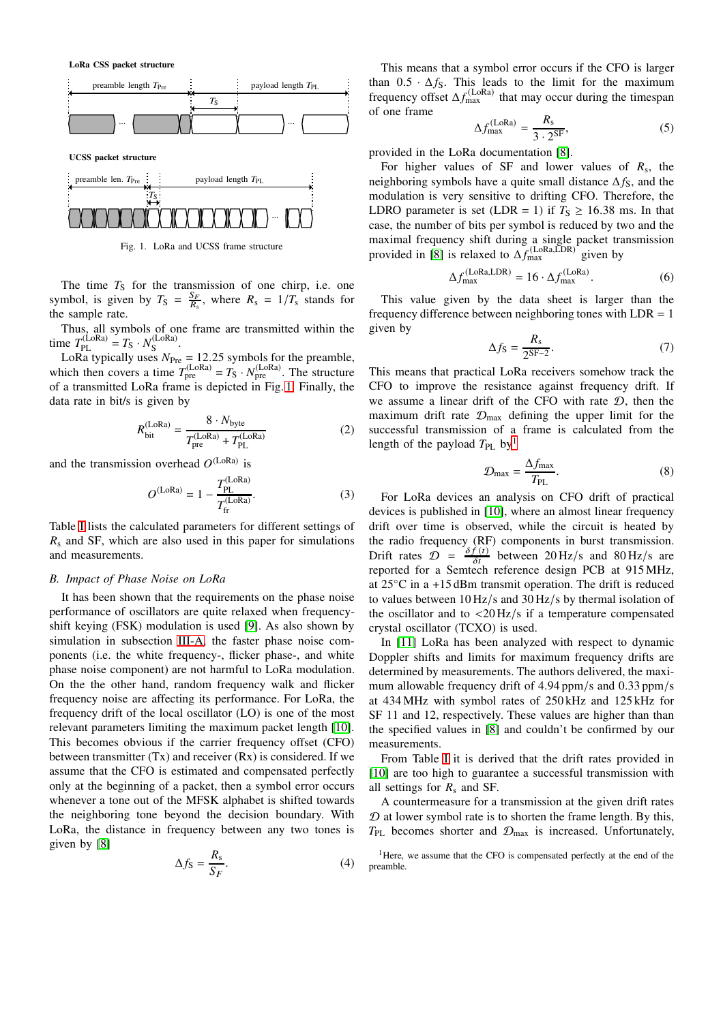LoRa CSS packet structure



UCSS packet structure



<span id="page-1-0"></span>Fig. 1. LoRa and UCSS frame structure

The time  $T<sub>S</sub>$  for the transmission of one chirp, i.e. one symbol, is given by  $T_S = \frac{S_F}{R_s}$ , where  $R_s = 1/T_s$  stands for the sample rate.

Thus, all symbols of one frame are transmitted within the time  $T_{\rm PL}^{\rm (LoRa)} = T_{\rm S} \cdot N_{\rm S}^{\rm (LoRa)}$ (LORA)<br>S

LoRa typically uses  $N_{\text{Pre}} = 12.25$  symbols for the preamble, which then covers a time  $T_{\text{pre}}^{(\text{LoRa})} = T_{\text{S}} \cdot N_{\text{pre}}^{(\text{LoRa})}$ . The structure of a transmitted LoRa frame is depicted in Fig. [1.](#page-1-0) Finally, the data rate in bit/s is given by

$$
R_{\text{bit}}^{(\text{Loka})} = \frac{8 \cdot N_{\text{byte}}}{T_{\text{pre}}^{(\text{Loka})} + T_{\text{PL}}^{(\text{Loka})}}
$$
(2)

and the transmission overhead  $O^{(LoRa)}$  is

$$
O^{(\text{LoRa})} = 1 - \frac{T_{\text{PL}}^{(\text{LoRa})}}{T_{\text{fr}}^{(\text{LoRa})}}.
$$
 (3)

Table [I](#page-3-0) lists the calculated parameters for different settings of  $R_s$  and SF, which are also used in this paper for simulations and measurements.

### *B. Impact of Phase Noise on LoRa*

It has been shown that the requirements on the phase noise performance of oscillators are quite relaxed when frequencyshift keying (FSK) modulation is used [\[9\]](#page-5-9). As also shown by simulation in subsection [III-A,](#page-2-1) the faster phase noise components (i.e. the white frequency-, flicker phase-, and white phase noise component) are not harmful to LoRa modulation. On the the other hand, random frequency walk and flicker frequency noise are affecting its performance. For LoRa, the frequency drift of the local oscillator (LO) is one of the most relevant parameters limiting the maximum packet length [\[10\]](#page-5-10). This becomes obvious if the carrier frequency offset (CFO) between transmitter  $(Tx)$  and receiver  $(Rx)$  is considered. If we assume that the CFO is estimated and compensated perfectly only at the beginning of a packet, then a symbol error occurs whenever a tone out of the MFSK alphabet is shifted towards the neighboring tone beyond the decision boundary. With LoRa, the distance in frequency between any two tones is given by [\[8\]](#page-5-8)

$$
\Delta f_{\rm S} = \frac{R_{\rm s}}{S_F}.\tag{4}
$$

This means that a symbol error occurs if the CFO is larger than  $0.5 \cdot \Delta f_S$ . This leads to the limit for the maximum frequency offset  $\Delta f_{\text{max}}^{(\text{LoRa})}$  that may occur during the timespan of one frame

$$
\Delta f_{\text{max}}^{(\text{LoRa})} = \frac{R_{\text{s}}}{3 \cdot 2^{\text{SF}}},\tag{5}
$$

provided in the LoRa documentation [\[8\]](#page-5-8).

For higher values of SF and lower values of  $R_s$ , the neighboring symbols have a quite small distance  $\Delta f_S$ , and the modulation is very sensitive to drifting CFO. Therefore, the LDRO parameter is set (LDR = 1) if  $T_s \ge 16.38$  ms. In that case, the number of bits per symbol is reduced by two and the maximal frequency shift during a single packet transmission provided in [\[8\]](#page-5-8) is relaxed to  $\Delta f_{\text{max}}^{(\text{LORA}, \text{LDR})}$  given by

$$
\Delta f_{\text{max}}^{(\text{Loka}, \text{LDR})} = 16 \cdot \Delta f_{\text{max}}^{(\text{Loka})}.
$$
 (6)

This value given by the data sheet is larger than the frequency difference between neighboring tones with  $LDR = 1$ given by

$$
\Delta f_{\rm S} = \frac{R_{\rm s}}{2^{\rm SF-2}}.\tag{7}
$$

This means that practical LoRa receivers somehow track the CFO to improve the resistance against frequency drift. If we assume a linear drift of the CFO with rate  $D$ , then the maximum drift rate  $\mathcal{D}_{\text{max}}$  defining the upper limit for the successful transmission of a frame is calculated from the length of the payload  $T_{PL}$  by<sup>[1](#page-1-1)</sup>

$$
\mathcal{D}_{\text{max}} = \frac{\Delta f_{\text{max}}}{T_{\text{PL}}}.
$$
\n(8)

For LoRa devices an analysis on CFO drift of practical devices is published in [\[10\]](#page-5-10), where an almost linear frequency drift over time is observed, while the circuit is heated by the radio frequency (RF) components in burst transmission. Drift rates  $\hat{\mathcal{D}} = \frac{\delta f(t)}{\delta t}$  between 20 Hz/s and 80 Hz/s are reported for a Semtech reference design PCB at 915 MHz, at 25◦C in a +15 dBm transmit operation. The drift is reduced to values between 10 Hz/s and 30 Hz/s by thermal isolation of the oscillator and to  $\langle 20 \frac{\text{Hz}}{\text{s}} \rangle$  if a temperature compensated crystal oscillator (TCXO) is used.

In [\[11\]](#page-5-11) LoRa has been analyzed with respect to dynamic Doppler shifts and limits for maximum frequency drifts are determined by measurements. The authors delivered, the maximum allowable frequency drift of 4.94 ppm/s and 0.33 ppm/s at 434 MHz with symbol rates of 250 kHz and 125 kHz for SF 11 and 12, respectively. These values are higher than than the specified values in [\[8\]](#page-5-8) and couldn't be confirmed by our measurements.

From Table [I](#page-3-0) it is derived that the drift rates provided in [\[10\]](#page-5-10) are too high to guarantee a successful transmission with all settings for  $R_s$  and SF.

A countermeasure for a transmission at the given drift rates  $D$  at lower symbol rate is to shorten the frame length. By this,  $T_{PL}$  becomes shorter and  $\mathcal{D}_{max}$  is increased. Unfortunately,

<span id="page-1-1"></span><sup>1</sup>Here, we assume that the CFO is compensated perfectly at the end of the preamble.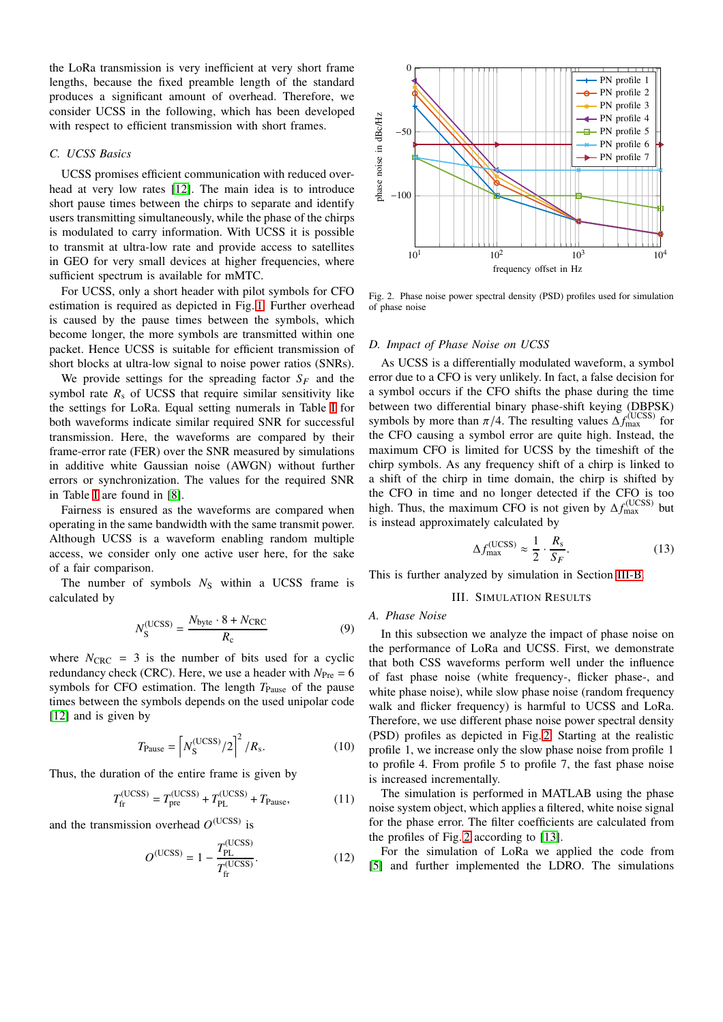the LoRa transmission is very inefficient at very short frame lengths, because the fixed preamble length of the standard produces a significant amount of overhead. Therefore, we consider UCSS in the following, which has been developed with respect to efficient transmission with short frames.

# *C. UCSS Basics*

UCSS promises efficient communication with reduced overhead at very low rates [\[12\]](#page-5-12). The main idea is to introduce short pause times between the chirps to separate and identify users transmitting simultaneously, while the phase of the chirps is modulated to carry information. With UCSS it is possible to transmit at ultra-low rate and provide access to satellites in GEO for very small devices at higher frequencies, where sufficient spectrum is available for mMTC.

For UCSS, only a short header with pilot symbols for CFO estimation is required as depicted in Fig. [1.](#page-1-0) Further overhead is caused by the pause times between the symbols, which become longer, the more symbols are transmitted within one packet. Hence UCSS is suitable for efficient transmission of short blocks at ultra-low signal to noise power ratios (SNRs).

We provide settings for the spreading factor  $S_F$  and the symbol rate  $R_s$  of UCSS that require similar sensitivity like the settings for LoRa. Equal setting numerals in Table [I](#page-3-0) for both waveforms indicate similar required SNR for successful transmission. Here, the waveforms are compared by their frame-error rate (FER) over the SNR measured by simulations in additive white Gaussian noise (AWGN) without further errors or synchronization. The values for the required SNR in Table [I](#page-3-0) are found in [\[8\]](#page-5-8).

Fairness is ensured as the waveforms are compared when operating in the same bandwidth with the same transmit power. Although UCSS is a waveform enabling random multiple access, we consider only one active user here, for the sake of a fair comparison.

The number of symbols  $N_S$  within a UCSS frame is calculated by

$$
N_{\rm S}^{\rm (UCSS)} = \frac{N_{\rm byte} \cdot 8 + N_{\rm CRC}}{R_{\rm c}}\tag{9}
$$

where  $N_{\text{CRC}} = 3$  is the number of bits used for a cyclic redundancy check (CRC). Here, we use a header with  $N_{\text{Pre}} = 6$ symbols for CFO estimation. The length  $T_{\text{Pause}}$  of the pause times between the symbols depends on the used unipolar code [\[12\]](#page-5-12) and is given by

$$
T_{\text{Pause}} = \left[ N_{\text{S}}^{\text{(UCSS)}} / 2 \right]^2 / R_{\text{s}}.
$$
 (10)

Thus, the duration of the entire frame is given by

$$
T_{\text{fr}}^{(\text{UCSS})} = T_{\text{pre}}^{(\text{UCSS})} + T_{\text{PL}}^{(\text{UCSS})} + T_{\text{Pause}},\tag{11}
$$

and the transmission overhead  $O<sup>(UCSS)</sup>$  is

$$
O^{(UCSS)} = 1 - \frac{T_{PL}^{(UCSS)}}{T_{\text{fr}}^{(UCSS)}}.
$$
 (12)



<span id="page-2-2"></span>Fig. 2. Phase noise power spectral density (PSD) profiles used for simulation of phase noise

#### *D. Impact of Phase Noise on UCSS*

As UCSS is a differentially modulated waveform, a symbol error due to a CFO is very unlikely. In fact, a false decision for a symbol occurs if the CFO shifts the phase during the time between two differential binary phase-shift keying (DBPSK) symbols by more than  $\pi/4$ . The resulting values  $\Delta f_{\rm max}^{\rm (UCSS)}$  for the CFO causing a symbol error are quite high. Instead, the maximum CFO is limited for UCSS by the timeshift of the chirp symbols. As any frequency shift of a chirp is linked to a shift of the chirp in time domain, the chirp is shifted by the CFO in time and no longer detected if the CFO is too high. Thus, the maximum CFO is not given by  $\Delta f_{\rm max}^{\rm (UCSS)}$  but is instead approximately calculated by

$$
\Delta f_{\text{max}}^{\text{(UCSS)}} \approx \frac{1}{2} \cdot \frac{R_s}{S_F}.\tag{13}
$$

<span id="page-2-0"></span>This is further analyzed by simulation in Section [III-B.](#page-3-1)

#### III. SIMULATION RESULTS

# <span id="page-2-1"></span>*A. Phase Noise*

In this subsection we analyze the impact of phase noise on the performance of LoRa and UCSS. First, we demonstrate that both CSS waveforms perform well under the influence of fast phase noise (white frequency-, flicker phase-, and white phase noise), while slow phase noise (random frequency walk and flicker frequency) is harmful to UCSS and LoRa. Therefore, we use different phase noise power spectral density (PSD) profiles as depicted in Fig. [2.](#page-2-2) Starting at the realistic profile 1, we increase only the slow phase noise from profile 1 to profile 4. From profile 5 to profile 7, the fast phase noise is increased incrementally.

The simulation is performed in MATLAB using the phase noise system object, which applies a filtered, white noise signal for the phase error. The filter coefficients are calculated from the profiles of Fig. [2](#page-2-2) according to [\[13\]](#page-5-13).

For the simulation of LoRa we applied the code from [\[5\]](#page-5-5) and further implemented the LDRO. The simulations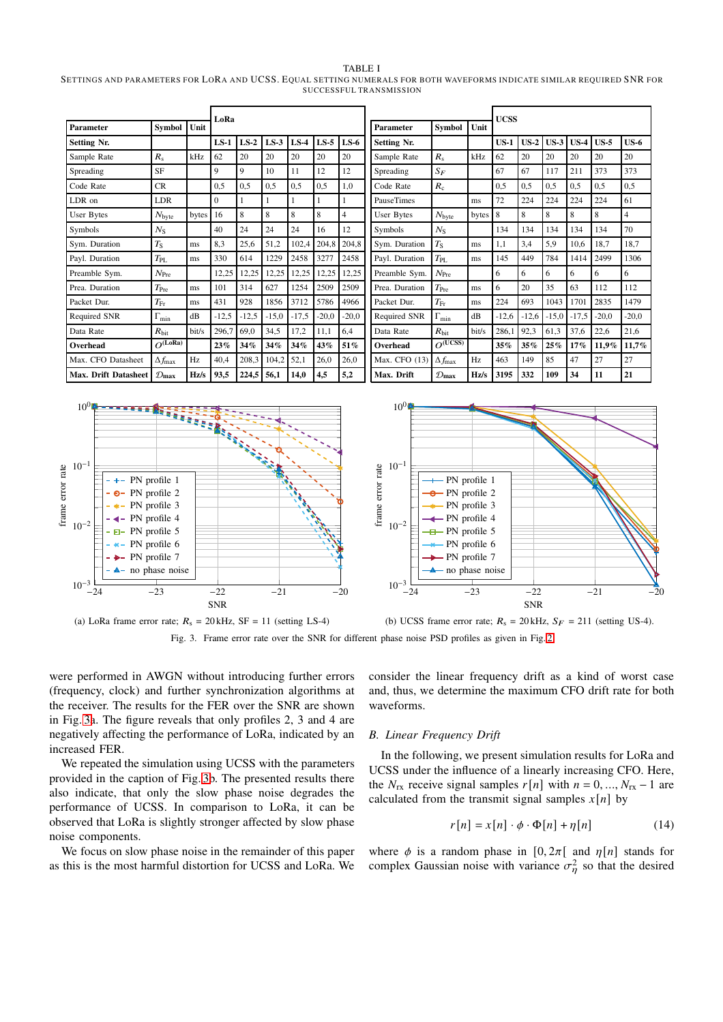#### TABLE I

<span id="page-3-0"></span>SETTINGS AND PARAMETERS FOR LORA AND UCSS. EQUAL SETTING NUMERALS FOR BOTH WAVEFORMS INDICATE SIMILAR REQUIRED SNR FOR SUCCESSFUL TRANSMISSION

| Parameter            | <b>Symbol</b>              | Unit  | LoRa     |         |         |         |         |                | Parameter          | <b>Symbol</b>              | Unit  | <b>UCSS</b> |         |         |         |         |         |
|----------------------|----------------------------|-------|----------|---------|---------|---------|---------|----------------|--------------------|----------------------------|-------|-------------|---------|---------|---------|---------|---------|
| <b>Setting Nr.</b>   |                            |       | $LS-1$   | $LS-2$  | $LS-3$  | $LS-4$  | $LS-5$  | $LS-6$         | <b>Setting Nr.</b> |                            |       | $US-1$      | $US-2$  | $US-3$  | $US-4$  | $US-5$  | $US-6$  |
| Sample Rate          | $R_{\rm s}$                | kHz   | 62       | 20      | 20      | 20      | 20      | 20             | Sample Rate        | $R_{\rm s}$                | kHz   | 62          | 20      | 20      | 20      | 20      | 20      |
| Spreading            | <b>SF</b>                  |       | 9        | 9       | 10      | 11      | 12      | 12             | Spreading          | $S_F$                      |       | 67          | 67      | 117     | 211     | 373     | 373     |
| Code Rate            | CR                         |       | 0,5      | 0.5     | 0,5     | 0,5     | 0,5     | 1,0            | Code Rate          | $R_{c}$                    |       | 0,5         | 0,5     | 0,5     | 0.5     | 0,5     | 0,5     |
| LDR on               | LDR                        |       | $\Omega$ |         |         |         |         |                | <b>PauseTimes</b>  |                            | ms    | 72          | 224     | 224     | 224     | 224     | 61      |
| User Bytes           | $N_{\rm byte}$             | bytes | 16       | 8       | 8       | 8       | 8       | $\overline{4}$ | <b>User Bytes</b>  | $N_{\text{byte}}$          | bytes | 8           | 8       | 8       | 8       | 8       | 4       |
| Symbols              | $N_{\rm S}$                |       | 40       | 24      | 24      | 24      | 16      | 12             | Symbols            | $N_{\rm S}$                |       | 134         | 134     | 134     | 134     | 134     | 70      |
| Svm. Duration        | $T_{\rm S}$                | ms    | 8,3      | 25,6    | 51,2    | 102,4   | 204,8   | 204,8          | Svm. Duration      | $T_{\rm S}$                | ms    | 1,1         | 3,4     | 5,9     | 10,6    | 18,7    | 18,7    |
| Payl. Duration       | $T_{\rm PL}$               | ms    | 330      | 614     | 1229    | 2458    | 3277    | 2458           | Payl. Duration     | $T_{\rm PL}$               | ms    | 145         | 449     | 784     | 1414    | 2499    | 1306    |
| Preamble Sym.        | $N_{\mathrm{Pre}}$         |       | 12,25    | 12,25   | 12,25   | 12,25   | 12,25   | 12,25          | Preamble Sym.      | $N_{\text{Pre}}$           |       | 6           | 6       | 6       | 6       | 6       | 6       |
| Prea. Duration       | $T_{\rm Pre}$              | ms    | 101      | 314     | 627     | 1254    | 2509    | 2509           | Prea. Duration     | $T_{\rm Pre}$              | ms    | 6           | 20      | 35      | 63      | 112     | 112     |
| Packet Dur.          | $T_{\rm Fr}$               | ms    | 431      | 928     | 1856    | 3712    | 5786    | 4966           | Packet Dur.        | $T_{\rm Fr}$               | ms    | 224         | 693     | 1043    | 1701    | 2835    | 1479    |
| Required SNR         | $\Gamma_{\text{min}}$      | dB    | $-12,5$  | $-12.5$ | $-15,0$ | $-17,5$ | $-20,0$ | $-20,0$        | Required SNR       | $\Gamma_{\text{min}}$      | dB    | $-12,6$     | $-12,6$ | $-15,0$ | $-17,5$ | $-20,0$ | $-20.0$ |
| Data Rate            | $R_{\rm hit}$              | bit/s | 296,7    | 69,0    | 34,5    | 17,2    | 11,1    | 6,4            | Data Rate          | $R_{\rm hit}$              | bit/s | 286,1       | 92,3    | 61,3    | 37,6    | 22,6    | 21,6    |
| Overhead             | $O^{(LoRa)}$               |       | 23%      | 34%     | 34%     | 34%     | 43%     | 51%            | Overhead           | $O^{(UCSS)}$               |       | 35%         | 35%     | 25%     | $17\%$  | 11,9%   | 11,7%   |
| Max. CFO Datasheet   | $\Delta f_{\rm max}$       | Hz    | 40,4     | 208,3   | 104,2   | 52,1    | 26,0    | 26,0           | Max. CFO (13)      | $\Delta f_{\rm max}$       | Hz    | 463         | 149     | 85      | 47      | 27      | 27      |
| Max. Drift Datasheet | $\mathcal{D}_{\text{max}}$ | Hz/s  | 93,5     | 224,5   | 56,1    | 14,0    | 4,5     | 5,2            | Max. Drift         | $\mathcal{D}_{\text{max}}$ | Hz/s  | 3195        | 332     | 109     | 34      | 11      | 21      |



<span id="page-3-2"></span>

were performed in AWGN without introducing further errors (frequency, clock) and further synchronization algorithms at the receiver. The results for the FER over the SNR are shown in Fig. [3a](#page-3-2). The figure reveals that only profiles 2, 3 and 4 are negatively affecting the performance of LoRa, indicated by an increased FER.

We repeated the simulation using UCSS with the parameters provided in the caption of Fig. [3b](#page-3-2). The presented results there also indicate, that only the slow phase noise degrades the performance of UCSS. In comparison to LoRa, it can be observed that LoRa is slightly stronger affected by slow phase noise components.

We focus on slow phase noise in the remainder of this paper as this is the most harmful distortion for UCSS and LoRa. We

consider the linear frequency drift as a kind of worst case and, thus, we determine the maximum CFO drift rate for both waveforms.

#### <span id="page-3-1"></span>*B. Linear Frequency Drift*

In the following, we present simulation results for LoRa and UCSS under the influence of a linearly increasing CFO. Here, the  $N_{rx}$  receive signal samples  $r[n]$  with  $n = 0, ..., N_{rx} - 1$  are calculated from the transmit signal samples  $x[n]$  by

$$
r[n] = x[n] \cdot \phi \cdot \Phi[n] + \eta[n] \tag{14}
$$

where  $\phi$  is a random phase in [0, 2 $\pi$ [ and  $\eta$ [*n*] stands for complex Gaussian noise with variance  $\sigma_{\eta}^2$  so that the desired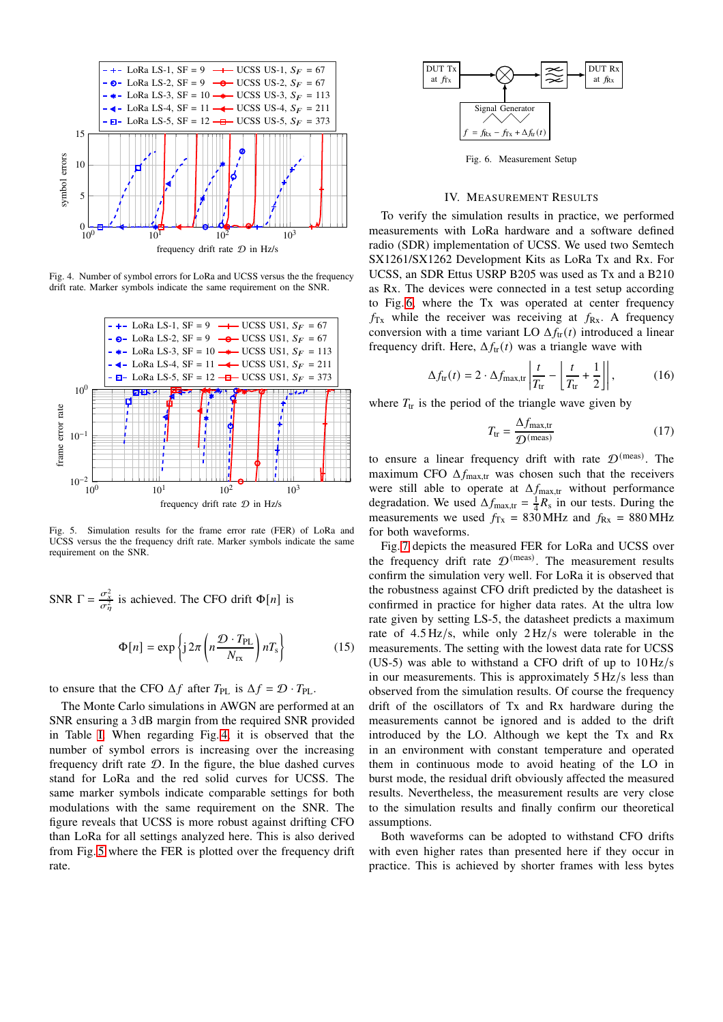

<span id="page-4-1"></span>Fig. 4. Number of symbol errors for LoRa and UCSS versus the the frequency drift rate. Marker symbols indicate the same requirement on the SNR.



<span id="page-4-2"></span>Fig. 5. Simulation results for the frame error rate (FER) of LoRa and UCSS versus the the frequency drift rate. Marker symbols indicate the same requirement on the SNR.

SNR  $\Gamma = \frac{\sigma_x^2}{\sigma_{\eta}^2}$  is achieved. The CFO drift  $\Phi[n]$  is

$$
\Phi[n] = \exp\left\{j\,2\pi \left(n\frac{\mathcal{D} \cdot T_{\rm PL}}{N_{\rm rx}}\right)n_{\rm s}\right\} \tag{15}
$$

to ensure that the CFO  $\Delta f$  after  $T_{\rm PL}$  is  $\Delta f = \mathcal{D} \cdot T_{\rm PL}$ .

The Monte Carlo simulations in AWGN are performed at an SNR ensuring a 3 dB margin from the required SNR provided in Table [I.](#page-3-0) When regarding Fig. [4,](#page-4-1) it is observed that the number of symbol errors is increasing over the increasing frequency drift rate  $D$ . In the figure, the blue dashed curves stand for LoRa and the red solid curves for UCSS. The same marker symbols indicate comparable settings for both modulations with the same requirement on the SNR. The figure reveals that UCSS is more robust against drifting CFO than LoRa for all settings analyzed here. This is also derived from Fig. [5](#page-4-2) where the FER is plotted over the frequency drift rate.



<span id="page-4-3"></span>Fig. 6. Measurement Setup

#### IV. MEASUREMENT RESULTS

<span id="page-4-0"></span>To verify the simulation results in practice, we performed measurements with LoRa hardware and a software defined radio (SDR) implementation of UCSS. We used two Semtech SX1261/SX1262 Development Kits as LoRa Tx and Rx. For UCSS, an SDR Ettus USRP B205 was used as Tx and a B210 as Rx. The devices were connected in a test setup according to Fig. [6,](#page-4-3) where the Tx was operated at center frequency  $f_{\text{Tx}}$  while the receiver was receiving at  $f_{\text{Rx}}$ . A frequency conversion with a time variant LO  $\Delta f_{tr}(t)$  introduced a linear frequency drift. Here,  $\Delta f_{tr}(t)$  was a triangle wave with

$$
\Delta f_{\rm tr}(t) = 2 \cdot \Delta f_{\rm max, tr} \left| \frac{t}{T_{\rm tr}} - \left| \frac{t}{T_{\rm tr}} + \frac{1}{2} \right| \right|, \tag{16}
$$

where  $T_{tr}$  is the period of the triangle wave given by

$$
T_{\text{tr}} = \frac{\Delta f_{\text{max,tr}}}{\mathcal{D}^{(\text{meas})}} \tag{17}
$$

to ensure a linear frequency drift with rate  $\mathcal{D}^{(\text{meas})}$ . The maximum CFO  $\Delta f_{\text{max,tr}}$  was chosen such that the receivers were still able to operate at  $\Delta f_{\text{max,tr}}$  without performance degradation. We used  $\Delta f_{\text{max,tr}} = \frac{1}{4} R_s$  in our tests. During the measurements we used  $f_{Tx} = 830 \text{ MHz}$  and  $f_{Rx} = 880 \text{ MHz}$ for both waveforms.

Fig. [7](#page-5-14) depicts the measured FER for LoRa and UCSS over the frequency drift rate  $\mathcal{D}^{(meas)}$ . The measurement results confirm the simulation very well. For LoRa it is observed that the robustness against CFO drift predicted by the datasheet is confirmed in practice for higher data rates. At the ultra low rate given by setting LS-5, the datasheet predicts a maximum rate of 4.5 Hz/s, while only 2 Hz/s were tolerable in the measurements. The setting with the lowest data rate for UCSS (US-5) was able to withstand a CFO drift of up to  $10 \frac{\text{Hz}}{\text{s}}$ in our measurements. This is approximately 5 Hz/s less than observed from the simulation results. Of course the frequency drift of the oscillators of Tx and Rx hardware during the measurements cannot be ignored and is added to the drift introduced by the LO. Although we kept the Tx and Rx in an environment with constant temperature and operated them in continuous mode to avoid heating of the LO in burst mode, the residual drift obviously affected the measured results. Nevertheless, the measurement results are very close to the simulation results and finally confirm our theoretical assumptions.

Both waveforms can be adopted to withstand CFO drifts with even higher rates than presented here if they occur in practice. This is achieved by shorter frames with less bytes